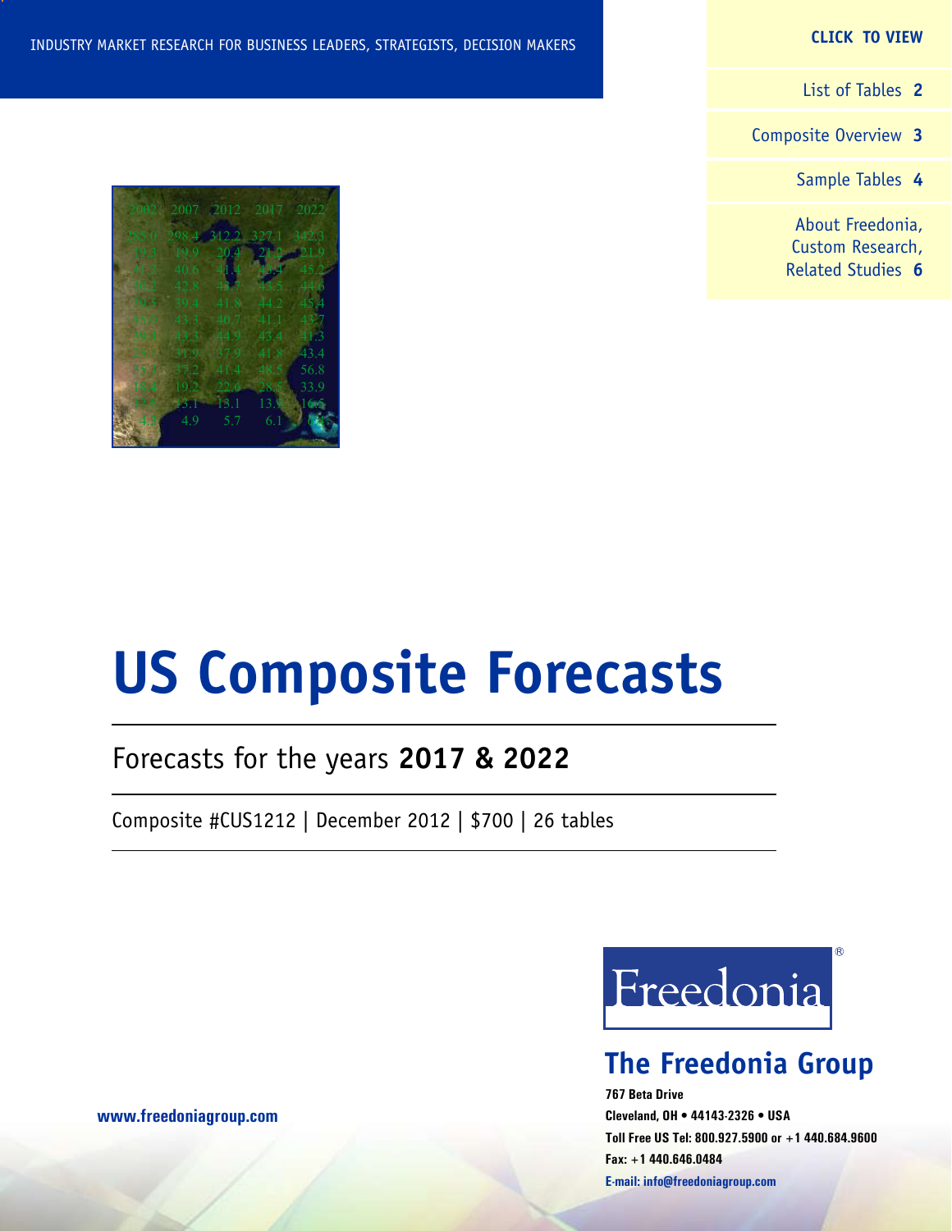**CLICK TO VIEW**

List of Tables **[2](#page-1-0)**

Composite Overview **[3](#page-2-0)**

Sample Tables **[4](#page-3-0)**

[About Freedonia,](#page-5-0) [Custom Research,](#page-5-0) [Related Studies](#page-5-0) **6**



# **US Composite Forecasts**

## Forecasts for the years **2017 & 2022**

Composite #CUS1212 | December 2012 | \$700 | 26 tables



# **The Freedonia Group**

**767 Beta Drive Cleveland, OH • 44143-2326 • USA Toll Free US Tel: 800.927.5900 or +1 440.684.9600 Fax: +1 440.646.0484 E-mail: [info@freedoniagroup.com](mailto:info@freedoniagroup.com)**



**[www.freedoniagroup.com](http://www.freedoniagroup.com/Home.aspx?ReferrerId=FM-Bro)**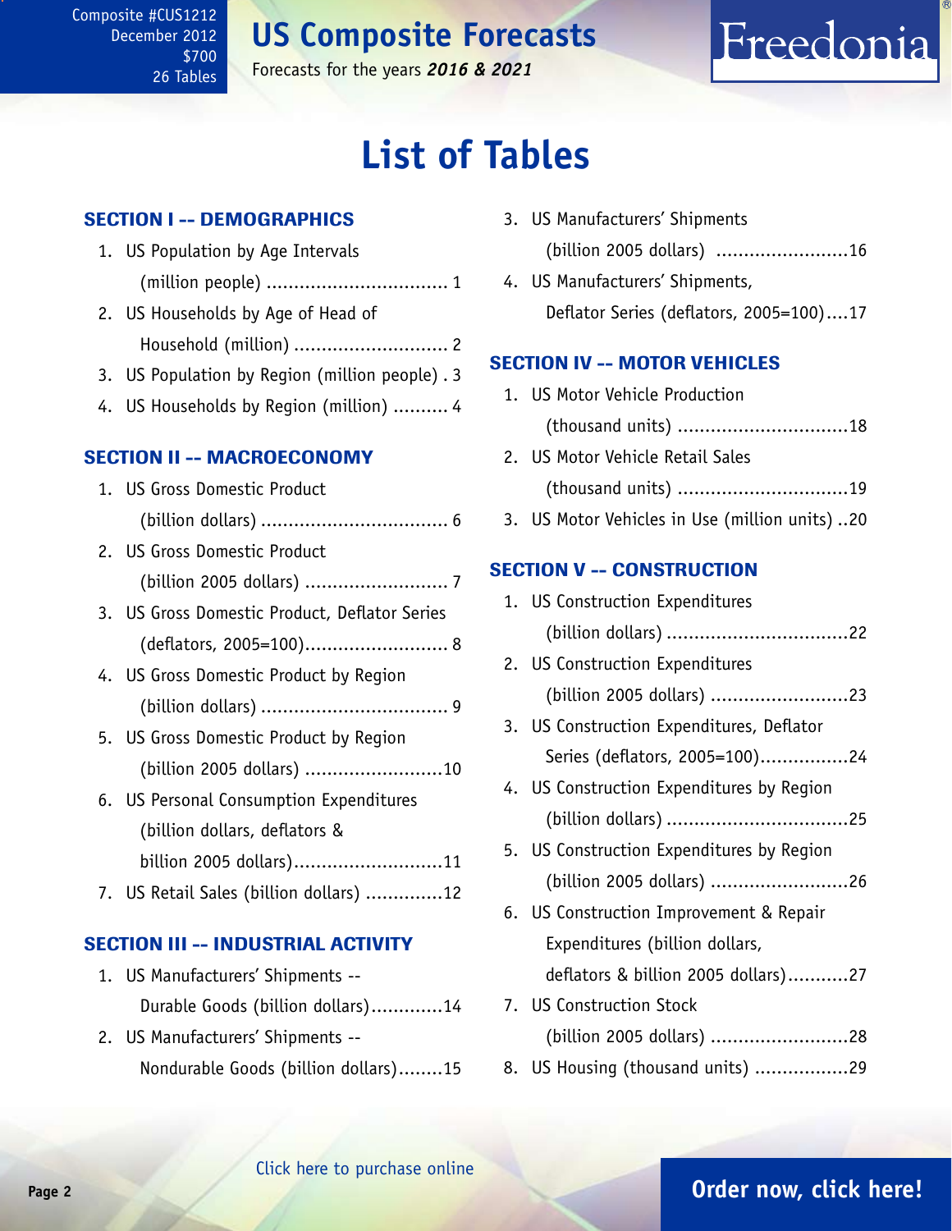# **US Composite Forecasts**

December 2012 \$700 26 Tables

<span id="page-1-0"></span>Composite #CUS1212

Forecasts for the years *2016 & 2021*

# **List of Tables**

#### SECTION I -- DEMOGRAPHICS

- 1. US Population by Age Intervals (million people) ................................. 1
- 2. US Households by Age of Head of Household (million) ............................ 2
- 3. US Population by Region (million people) . 3
- 4. US Households by Region (million) .......... 4

#### SECTION II -- MACROECONOMY

| 1. US Gross Domestic Product                  |
|-----------------------------------------------|
|                                               |
| 2. US Gross Domestic Product                  |
|                                               |
| 3. US Gross Domestic Product, Deflator Series |
| (deflators, 2005=100) 8                       |
| 4. US Gross Domestic Product by Region        |
|                                               |
| 5. US Gross Domestic Product by Region        |
| (billion 2005 dollars) 10                     |
| 6. US Personal Consumption Expenditures       |
| (billion dollars, deflators &                 |
| billion 2005 dollars)11                       |
| 7. US Retail Sales (billion dollars) 12       |

#### SECTION III -- INDUSTRIAL ACTIVITY

- 1. US Manufacturers' Shipments -- Durable Goods (billion dollars).............14
- 2. US Manufacturers' Shipments -- Nondurable Goods (billion dollars)........15

3. US Manufacturers' Shipments (billion 2005 dollars) ........................16

Freedonia

4. US Manufacturers' Shipments, Deflator Series (deflators, 2005=100)....17

#### SECTION IV -- MOTOR VEHICLES

- 1. US Motor Vehicle Production (thousand units) ...............................18 2. US Motor Vehicle Retail Sales
	- (thousand units) ...............................19
- 3. US Motor Vehicles in Use (million units) ..20

#### SECTION V -- CONSTRUCTION

| 1. US Construction Expenditures           |
|-------------------------------------------|
|                                           |
| 2. US Construction Expenditures           |
| (billion 2005 dollars) 23                 |
| 3. US Construction Expenditures, Deflator |
| Series (deflators, 2005=100)24            |
| 4. US Construction Expenditures by Region |
|                                           |
| 5. US Construction Expenditures by Region |
| (billion 2005 dollars) 26                 |
| 6. US Construction Improvement & Repair   |
| Expenditures (billion dollars,            |
| deflators & billion 2005 dollars)27       |
| 7. US Construction Stock                  |
| (billion 2005 dollars) 28                 |

8. US Housing (thousand units) .................29

### **Page 2 [Order now, click here!](http://www.freedoniagroup.com/DocumentDetails.aspx?Referrerid=FM-Bro&StudyID=CUS1104)**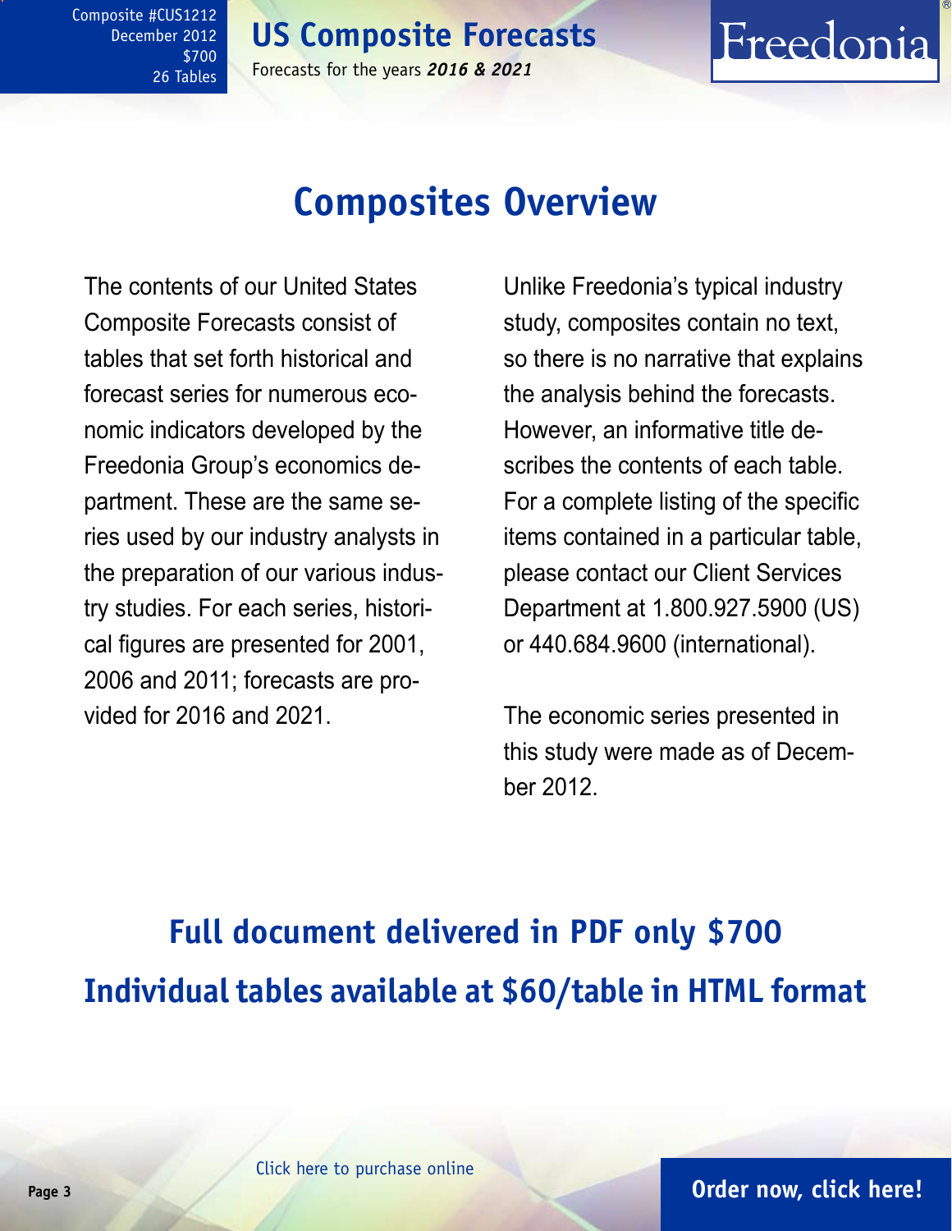### **US Composite Forecasts** Forecasts for the years *2016 & 2021*

<span id="page-2-0"></span>Composite #CUS1212 December 2012 \$700 26 Tables

# **Composites Overview**

The contents of our United States Composite Forecasts consist of tables that set forth historical and forecast series for numerous economic indicators developed by the Freedonia Group's economics department. These are the same series used by our industry analysts in the preparation of our various industry studies. For each series, historical figures are presented for 2001, 2006 and 2011; forecasts are provided for 2016 and 2021.

Unlike Freedonia's typical industry study, composites contain no text, so there is no narrative that explains the analysis behind the forecasts. However, an informative title describes the contents of each table. For a complete listing of the specific items contained in a particular table, please contact our Client Services Department at 1.800.927.5900 (US) or 440.684.9600 (international).

Freedonia

The economic series presented in this study were made as of December 2012.

# **Full document delivered in PDF only \$700 Individual tables available at \$60/table in HTML format**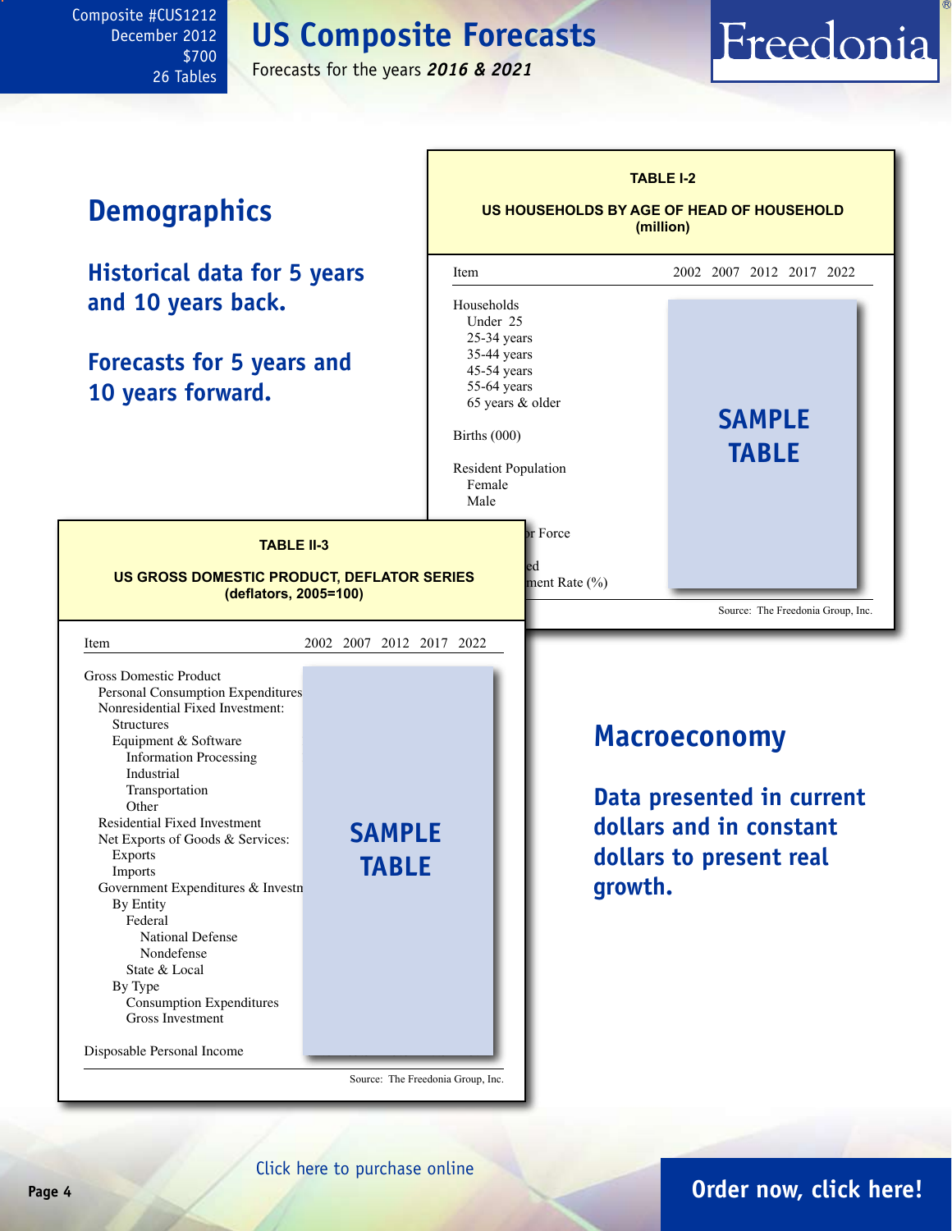# **US Composite Forecasts**

Forecasts for the years *2016 & 2021*

#### <span id="page-3-0"></span>Composite #CUS1212 December 2012 \$700 26 Tables



### **Page 4 [Order now, click here!](http://www.freedoniagroup.com/DocumentDetails.aspx?Referrerid=FM-Bro&StudyID=CUS1104)**

Freedonia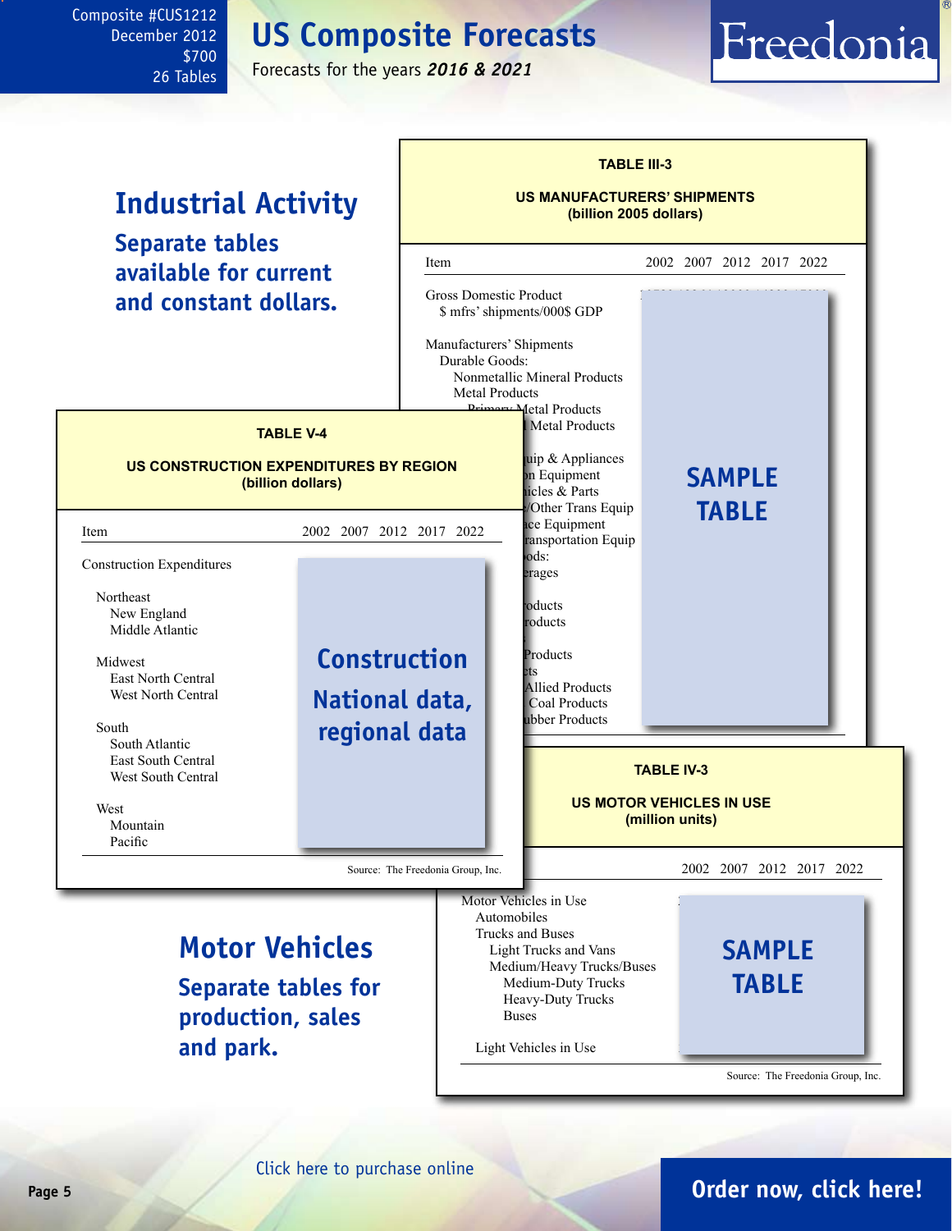# **US Composite Forecasts**

Freedonia

December 2012 \$700 26 Tables

Composite #CUS1212

#### Forecasts for the years *2016 & 2021*